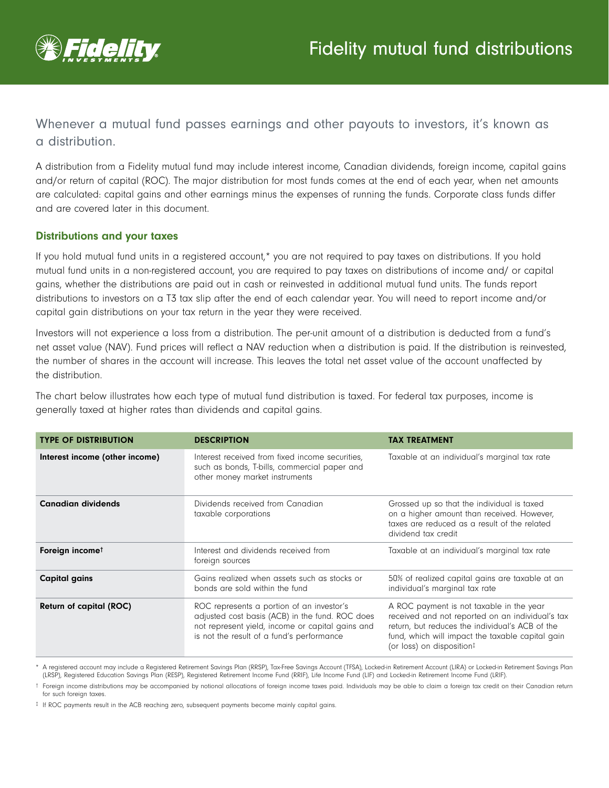

Whenever a mutual fund passes earnings and other payouts to investors, it's known as a distribution.

A distribution from a Fidelity mutual fund may include interest income, Canadian dividends, foreign income, capital gains and/or return of capital (ROC). The major distribution for most funds comes at the end of each year, when net amounts are calculated: capital gains and other earnings minus the expenses of running the funds. Corporate class funds differ and are covered later in this document.

## Distributions and your taxes

If you hold mutual fund units in a registered account,\* you are not required to pay taxes on distributions. If you hold mutual fund units in a non-registered account, you are required to pay taxes on distributions of income and/ or capital gains, whether the distributions are paid out in cash or reinvested in additional mutual fund units. The funds report distributions to investors on a T3 tax slip after the end of each calendar year. You will need to report income and/or capital gain distributions on your tax return in the year they were received.

Investors will not experience a loss from a distribution. The per-unit amount of a distribution is deducted from a fund's net asset value (NAV). Fund prices will reflect a NAV reduction when a distribution is paid. If the distribution is reinvested, the number of shares in the account will increase. This leaves the total net asset value of the account unaffected by the distribution.

The chart below illustrates how each type of mutual fund distribution is taxed. For federal tax purposes, income is generally taxed at higher rates than dividends and capital gains.

| <b>TYPE OF DISTRIBUTION</b>    | <b>DESCRIPTION</b>                                                                                                                                                                            | <b>TAX TREATMENT</b>                                                                                                                                                                                                                         |
|--------------------------------|-----------------------------------------------------------------------------------------------------------------------------------------------------------------------------------------------|----------------------------------------------------------------------------------------------------------------------------------------------------------------------------------------------------------------------------------------------|
| Interest income (other income) | Interest received from fixed income securities,<br>such as bonds, T-bills, commercial paper and<br>other money market instruments                                                             | Taxable at an individual's marginal tax rate                                                                                                                                                                                                 |
| <b>Canadian dividends</b>      | Dividends received from Canadian<br>taxable corporations                                                                                                                                      | Grossed up so that the individual is taxed<br>on a higher amount than received. However,<br>taxes are reduced as a result of the related<br>dividend tax credit                                                                              |
| Foreign income <sup>t</sup>    | Interest and dividends received from<br>foreign sources                                                                                                                                       | Taxable at an individual's marginal tax rate                                                                                                                                                                                                 |
| <b>Capital gains</b>           | Gains realized when assets such as stocks or<br>bonds are sold within the fund                                                                                                                | 50% of realized capital gains are taxable at an<br>individual's marginal tax rate                                                                                                                                                            |
| Return of capital (ROC)        | ROC represents a portion of an investor's<br>adjusted cost basis (ACB) in the fund. ROC does<br>not represent yield, income or capital gains and<br>is not the result of a fund's performance | A ROC payment is not taxable in the year<br>received and not reported on an individual's tax<br>return, but reduces the individual's ACB of the<br>fund, which will impact the taxable capital gain<br>(or loss) on disposition <sup>‡</sup> |

\* A registered account may include a Registered Retirement Savings Plan (RRSP), Tax-Free Savings Account (TFSA), Locked-in Retirement Account (LIRA) or Locked-in Retirement Savings Plan (LRSP), Registered Education Savings Plan (RESP), Registered Retirement Income Fund (RRIF), Life Income Fund (LIF) and Locked-in Retirement Income Fund (LRIF).

t Foreign income distributions may be accompanied by notional allocations of foreign income taxes paid. Individuals may be able to claim a foreign tax credit on their Canadian return for such foreign taxes.

‡ If ROC payments result in the ACB reaching zero, subsequent payments become mainly capital gains.